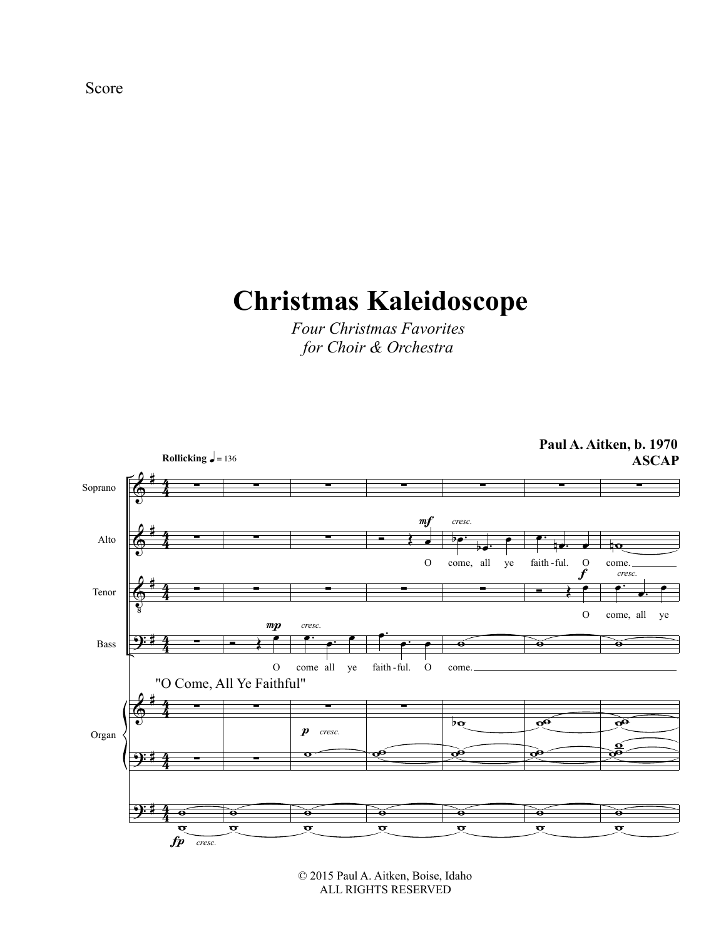Score

## **Christmas Kaleidoscope**

*Four Christmas Favorites for Choir & Orchestra*



© 2015 Paul A. Aitken, Boise, Idaho ALL RIGHTS RESERVED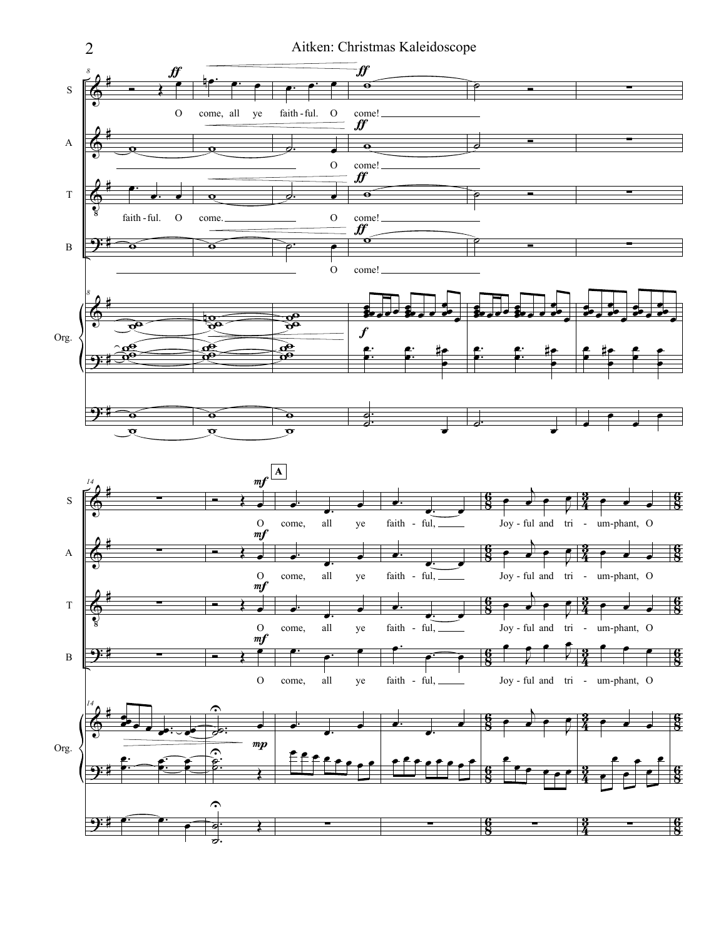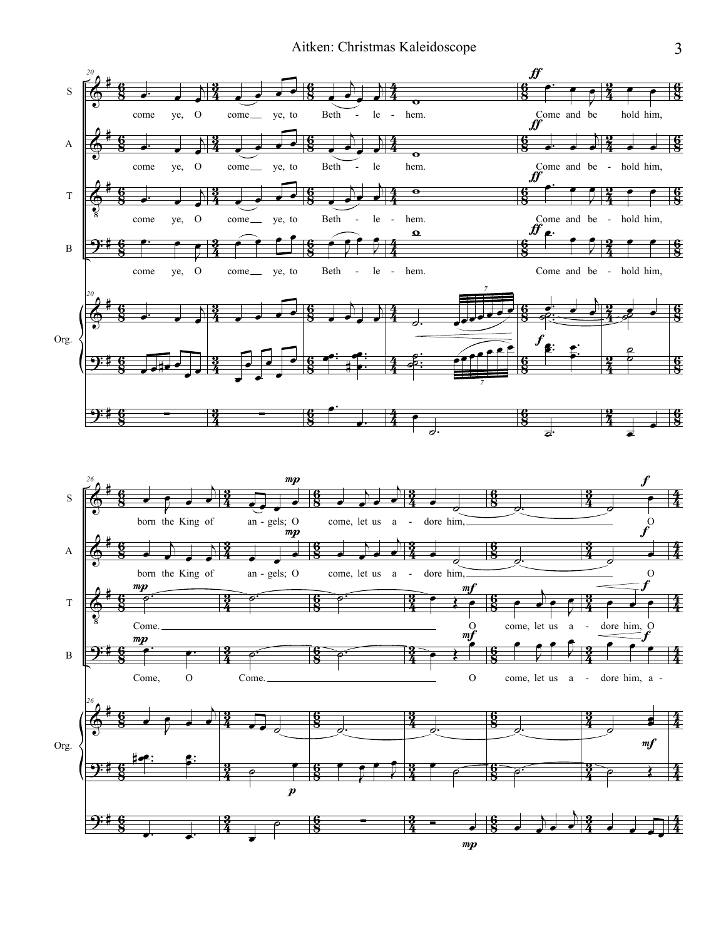Aitken: Christmas Kaleidoscope 3

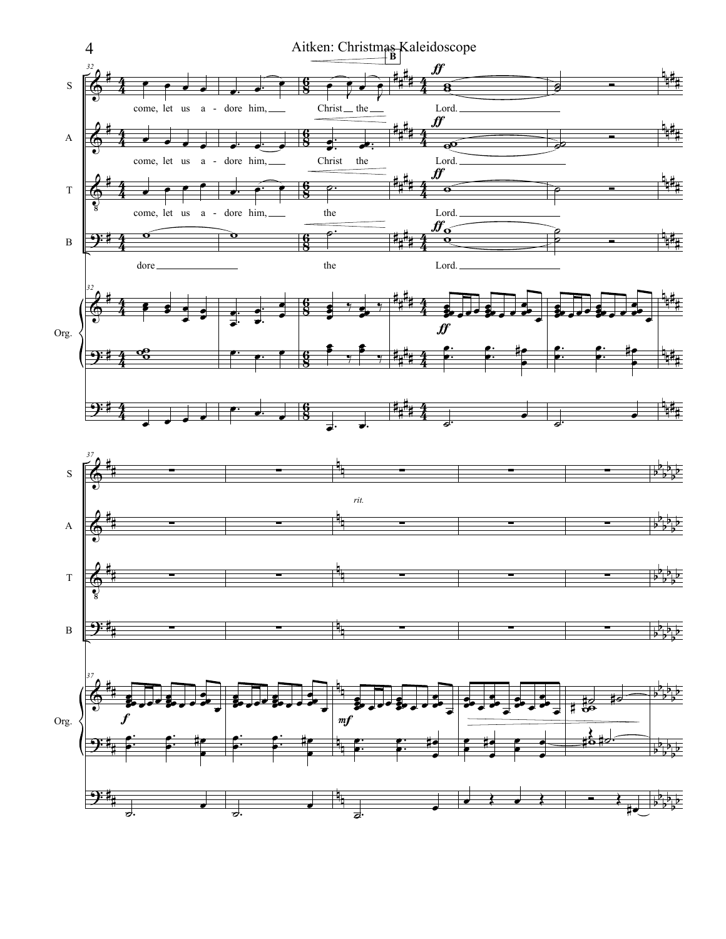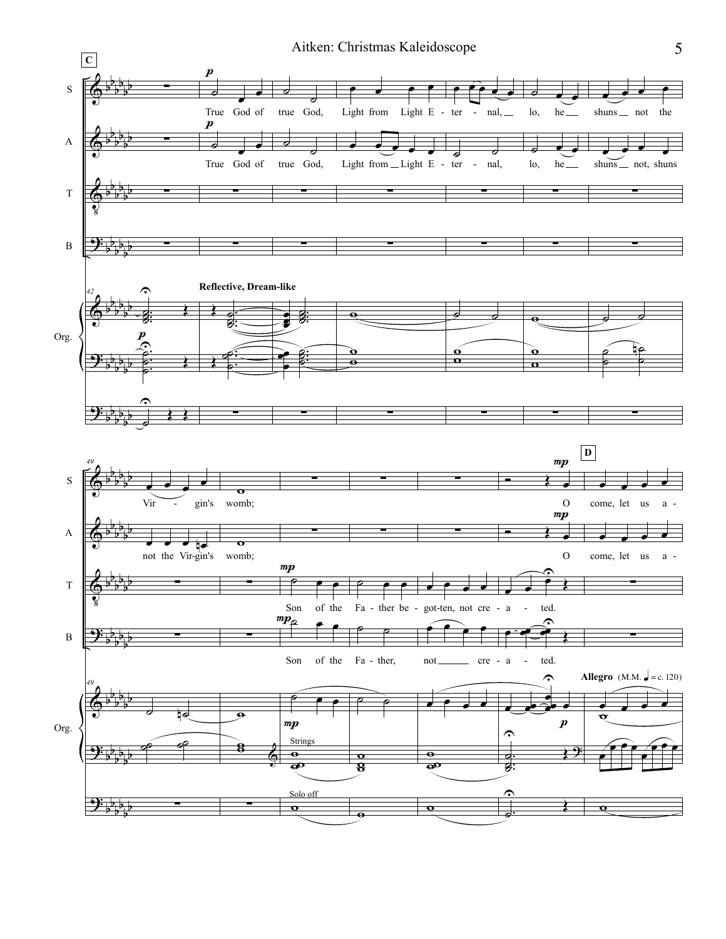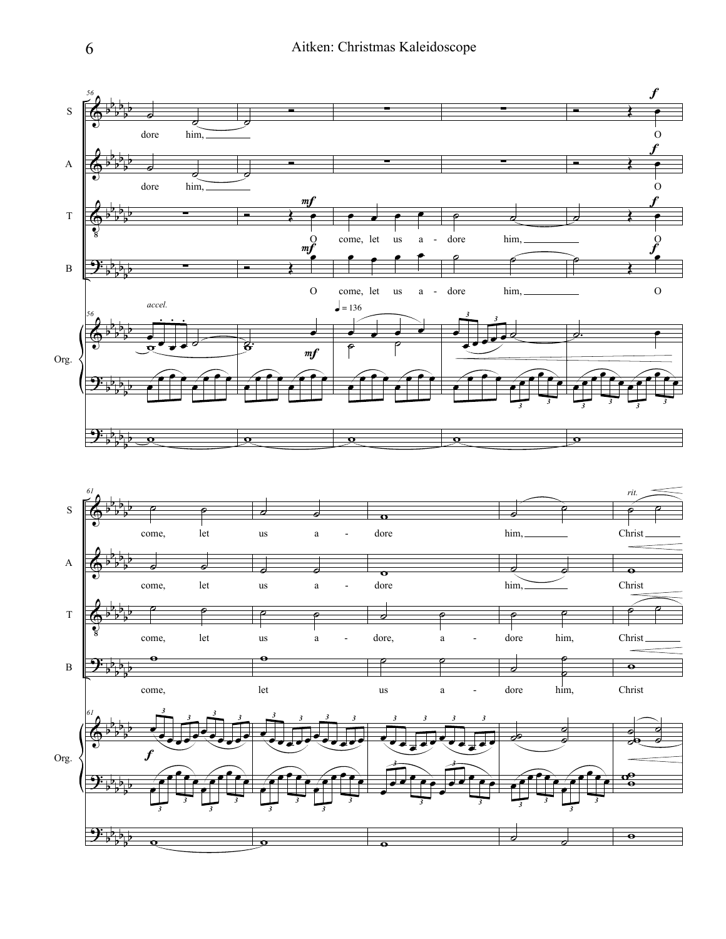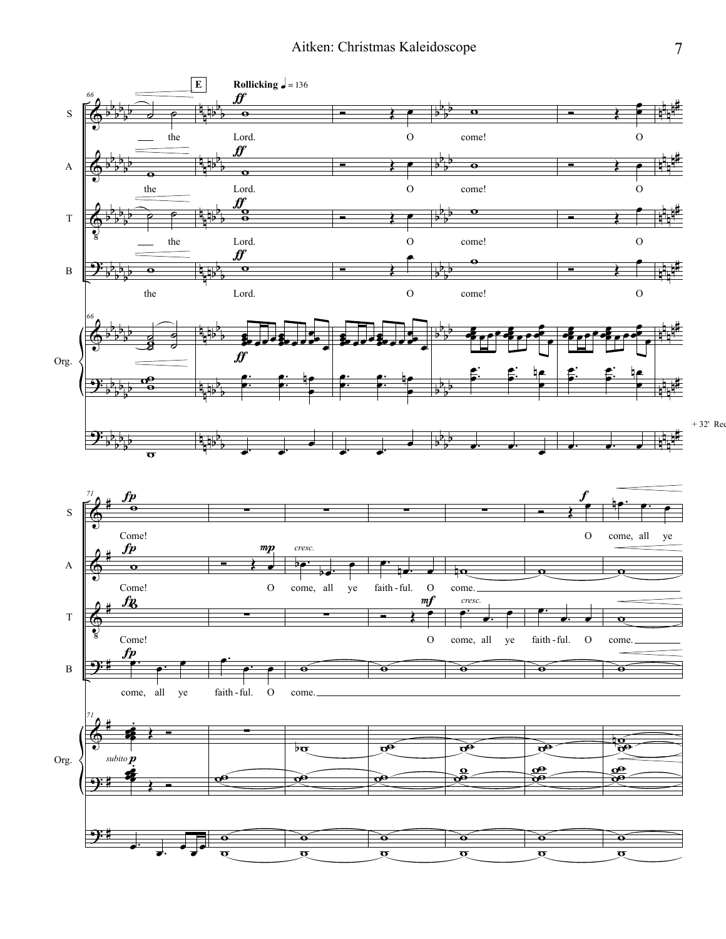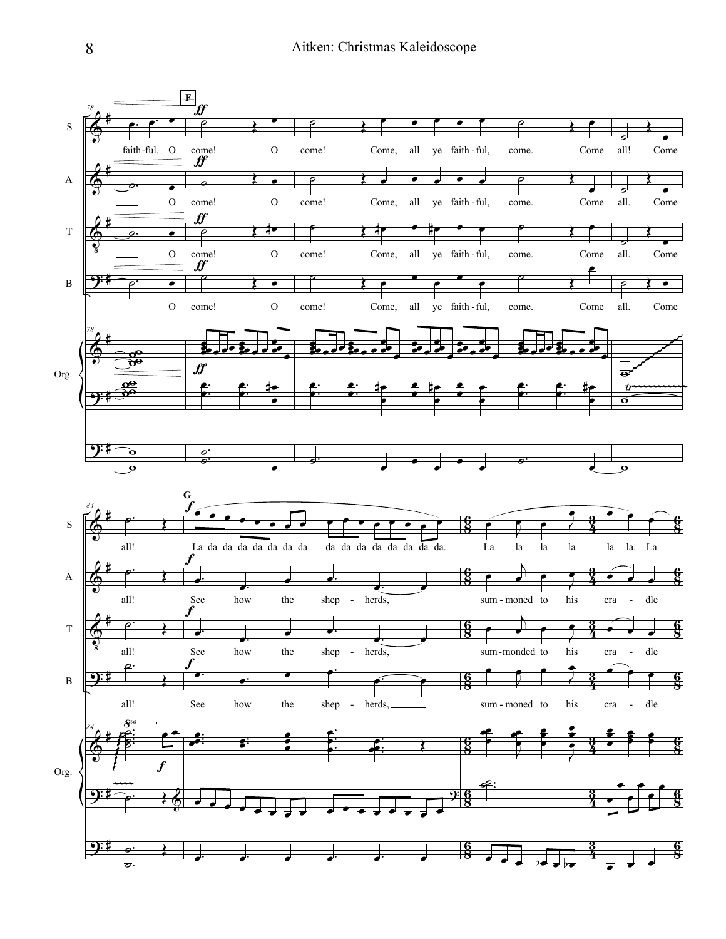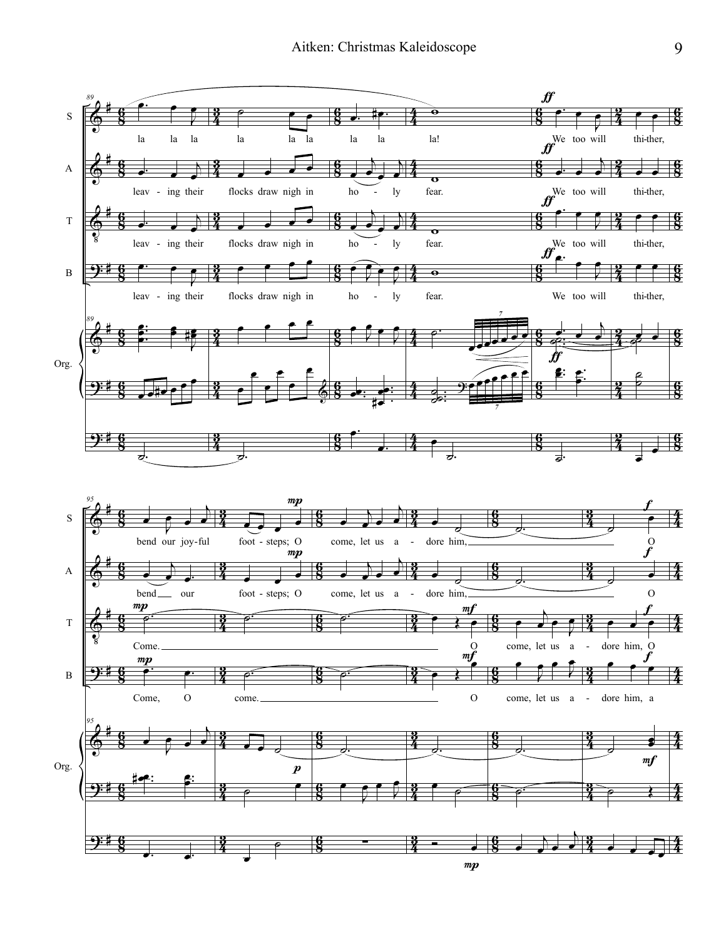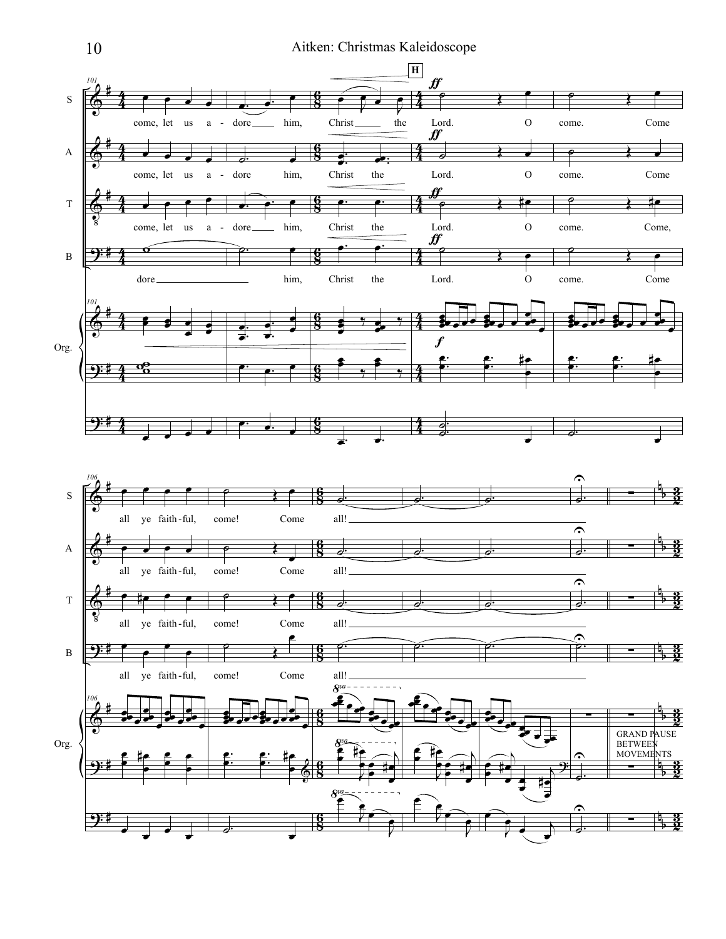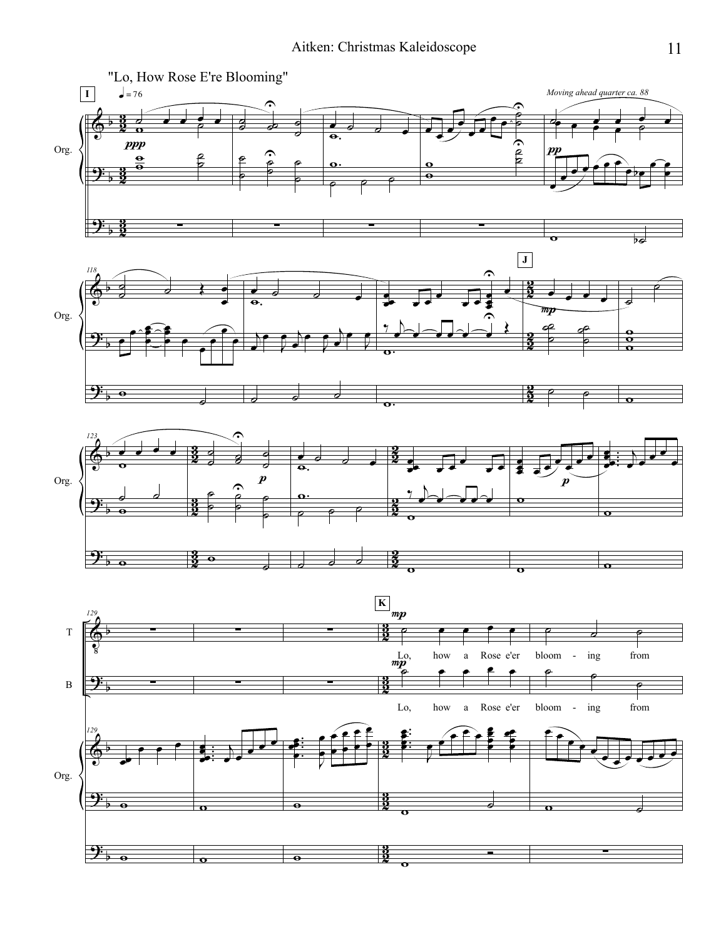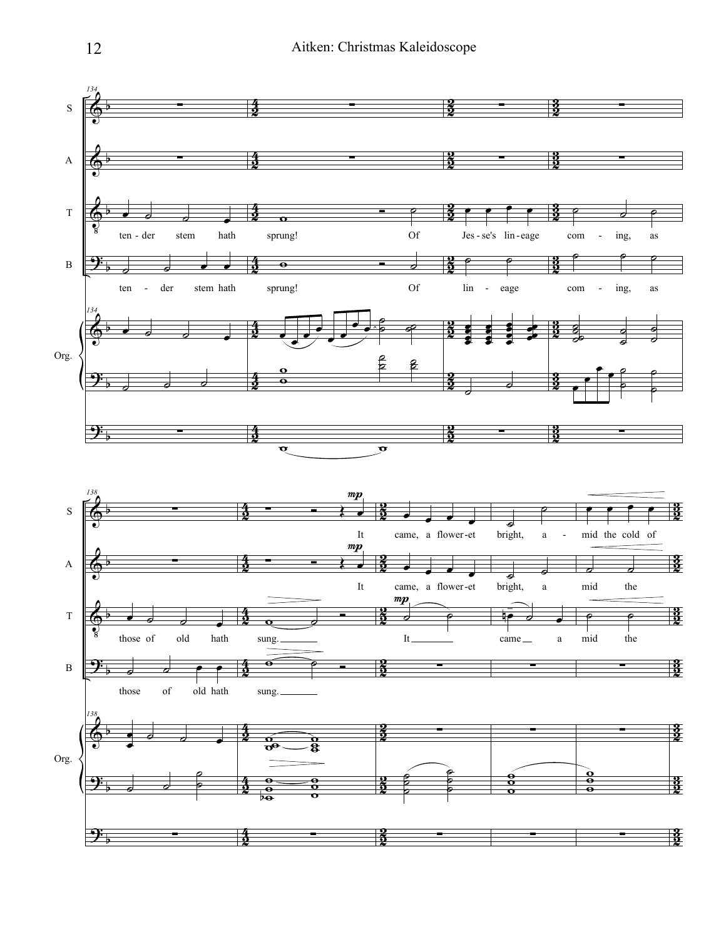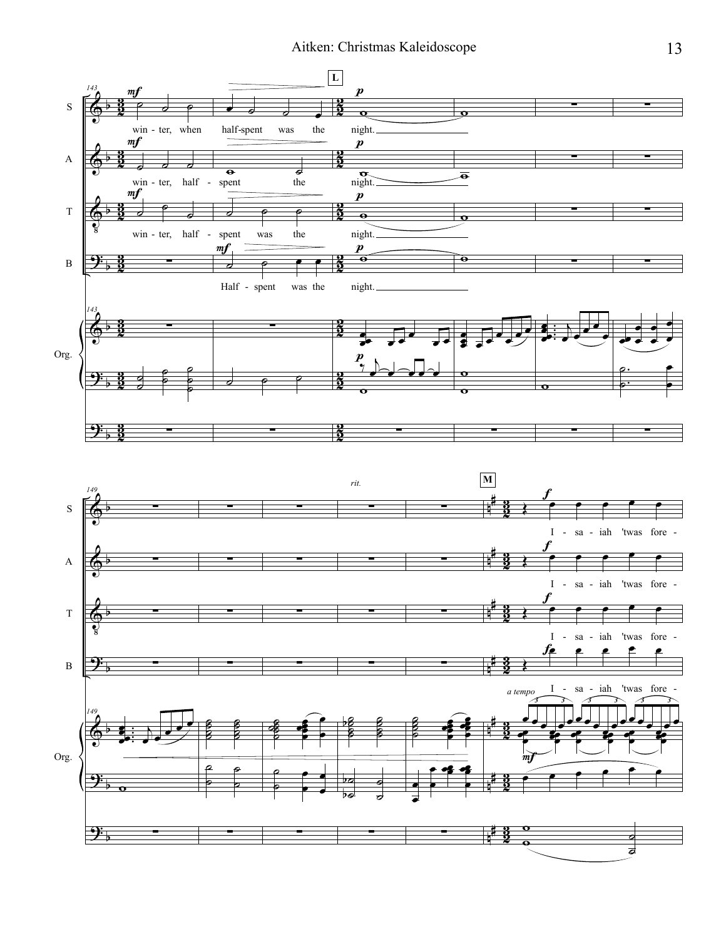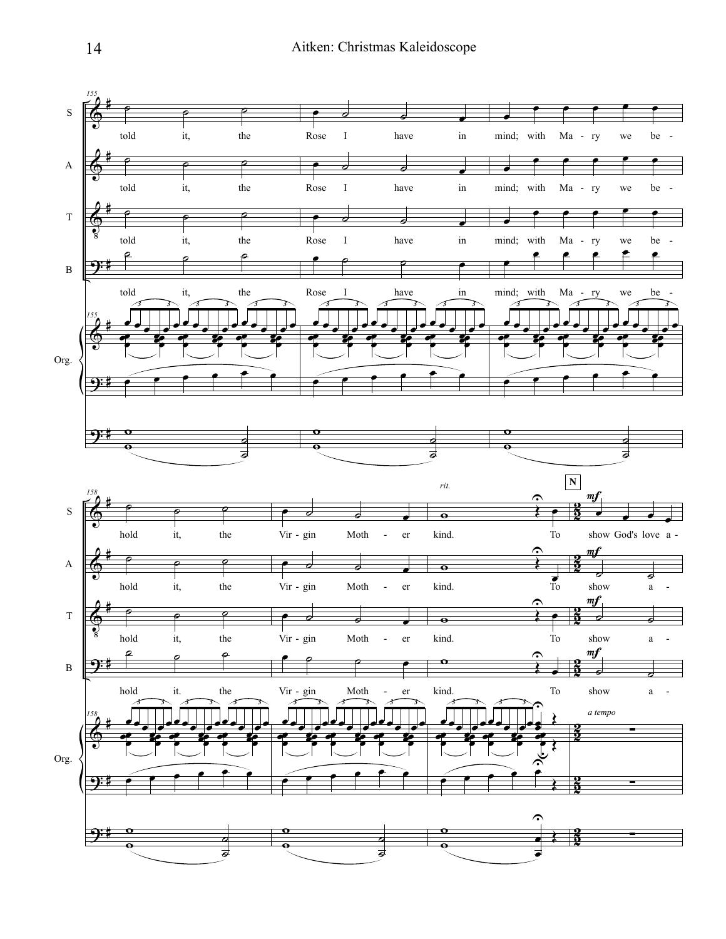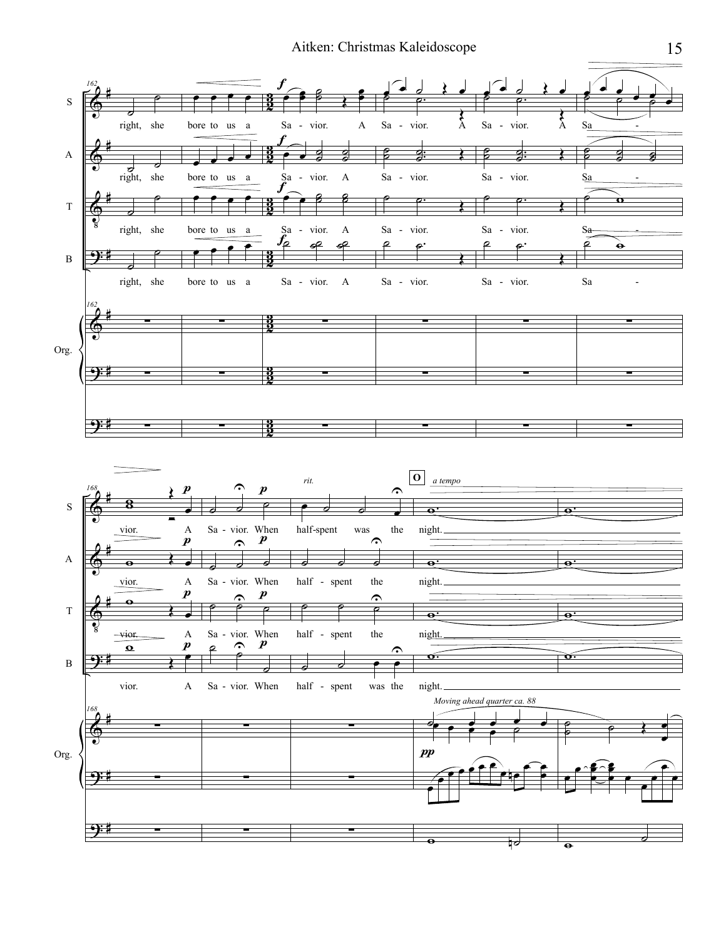Aitken: Christmas Kaleidoscope 15

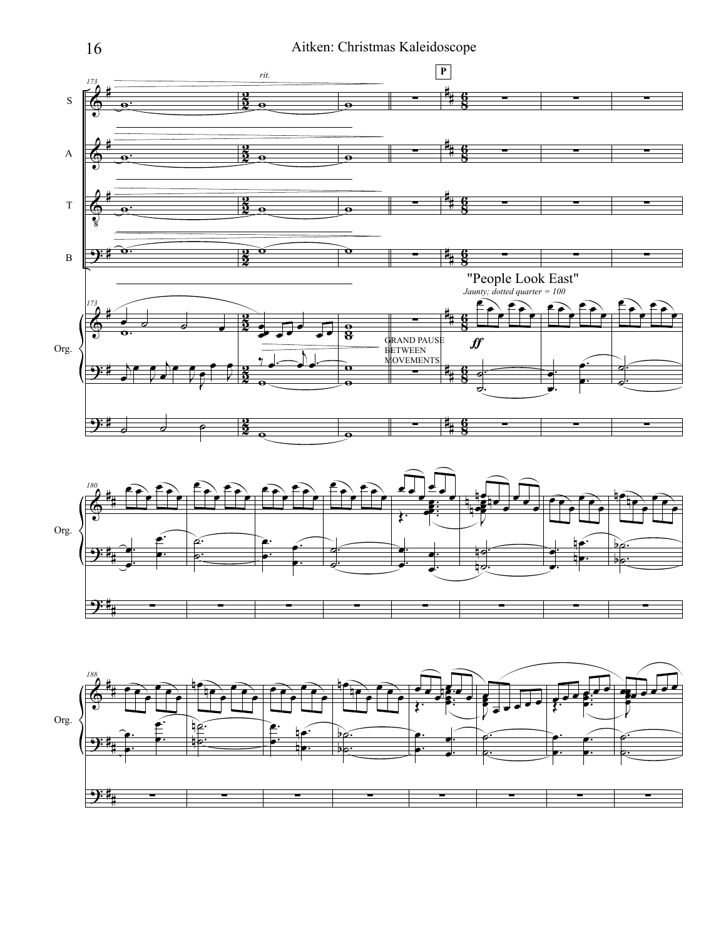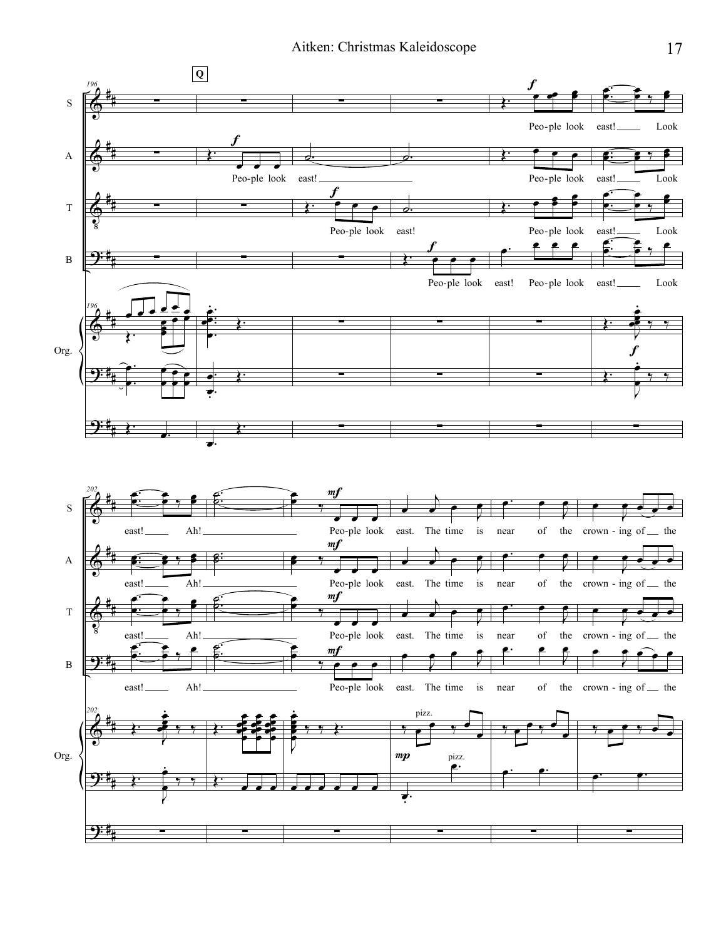Aitken: Christmas Kaleidoscope 17

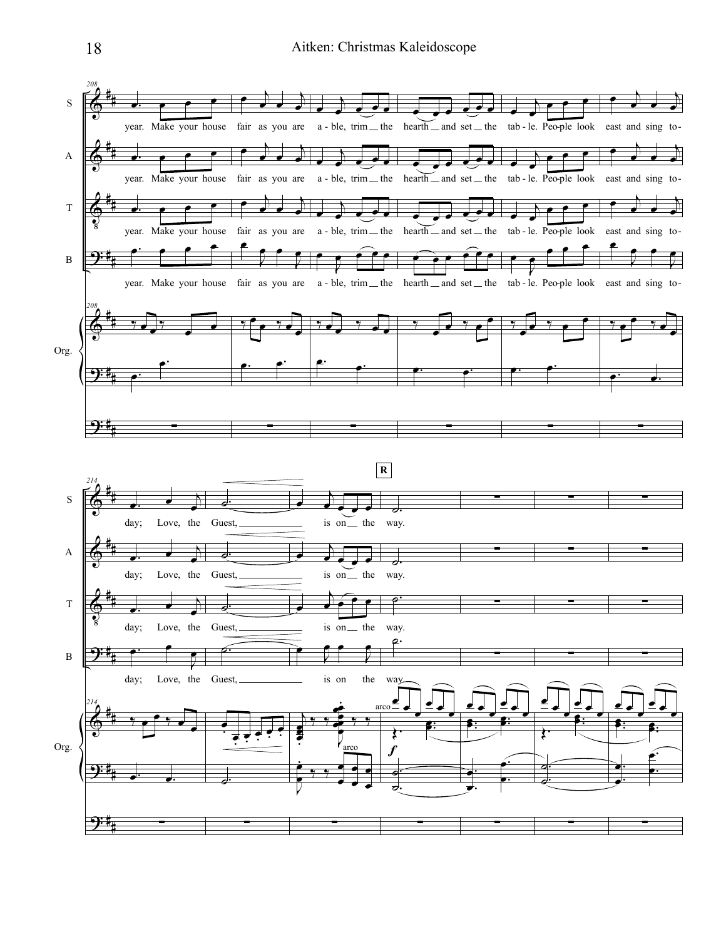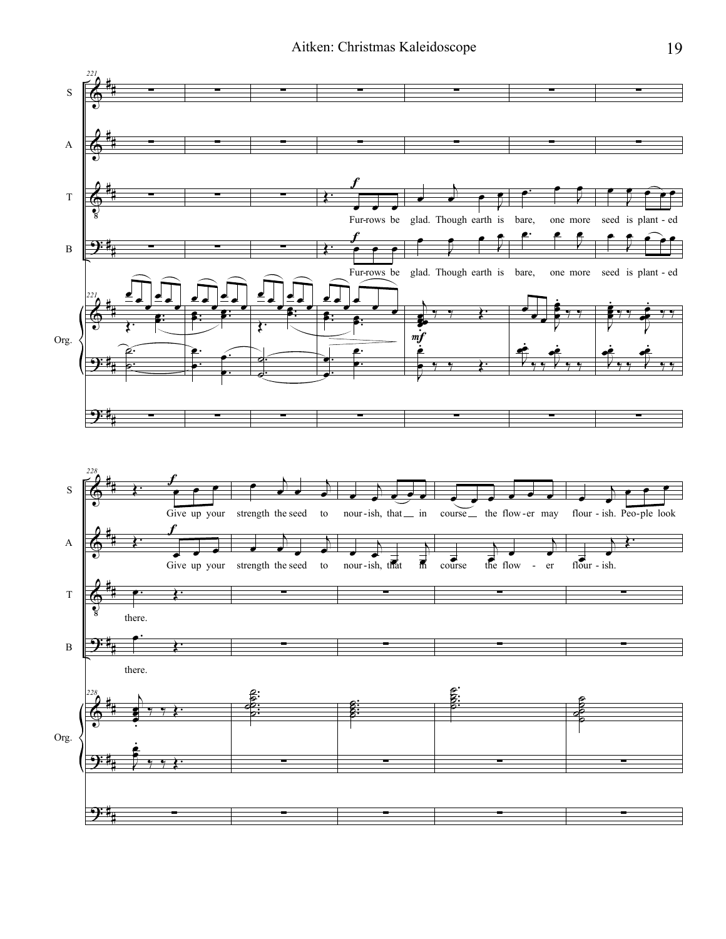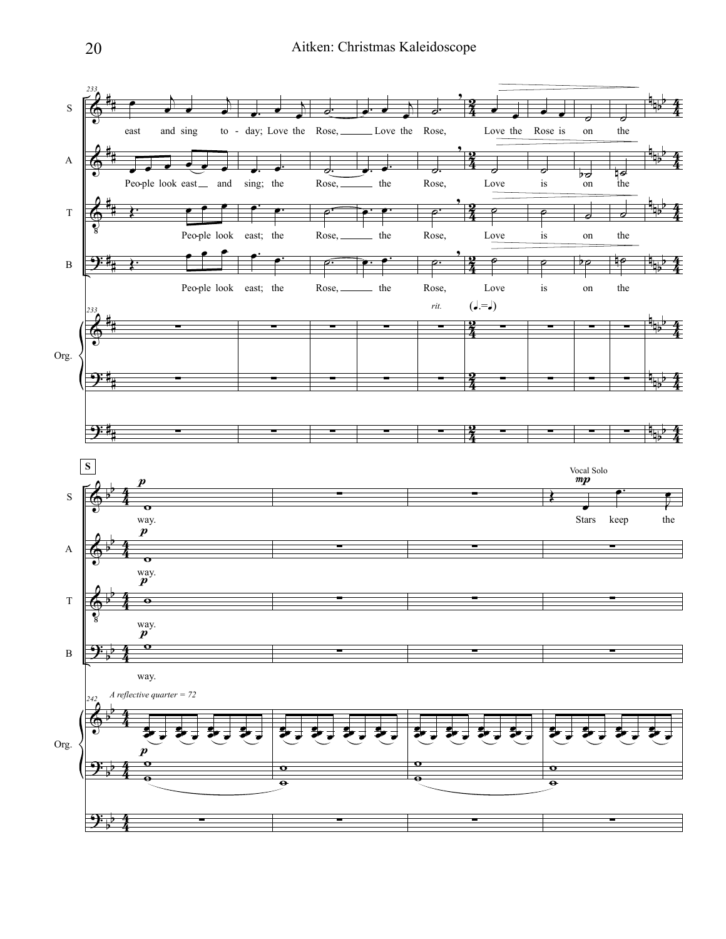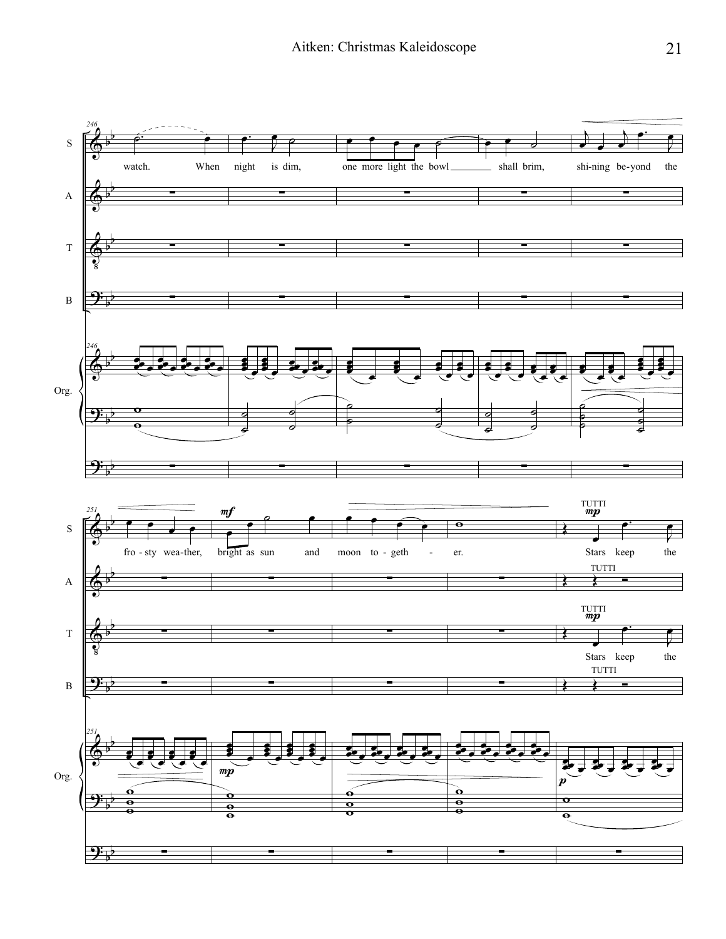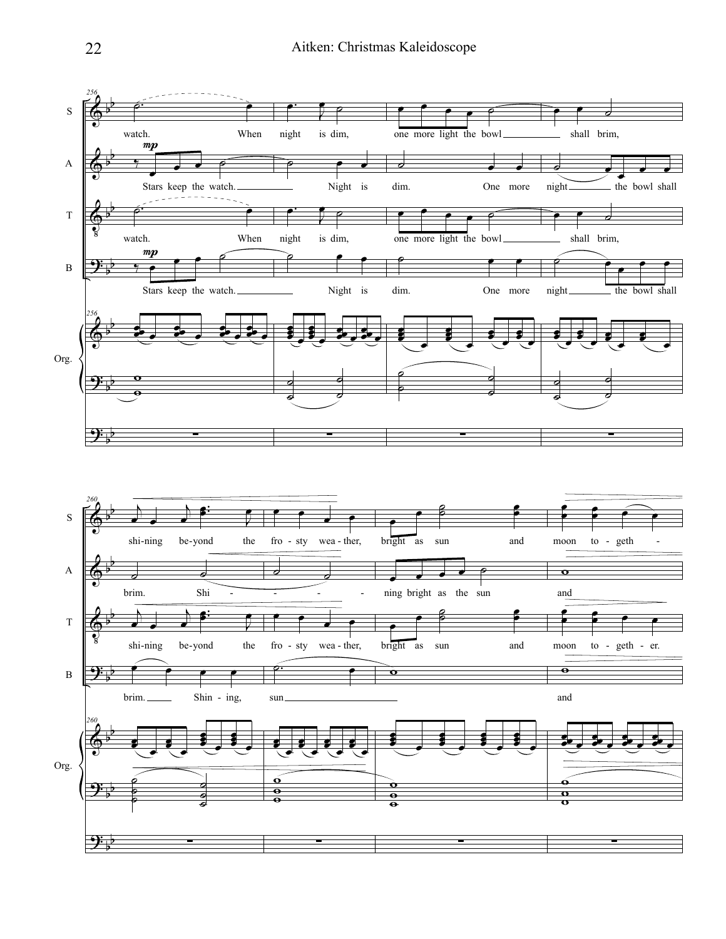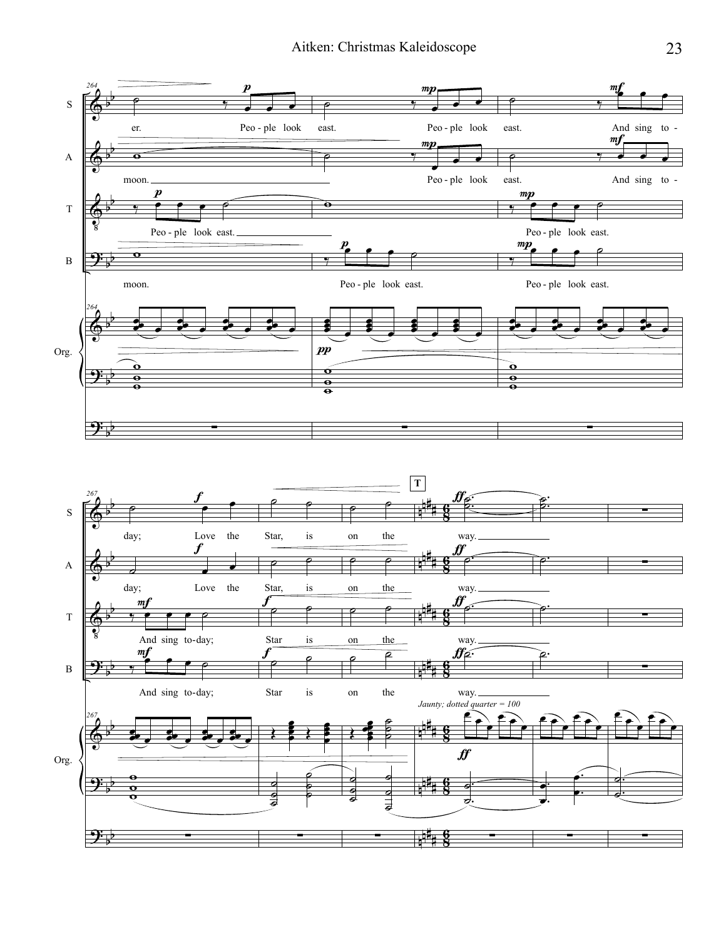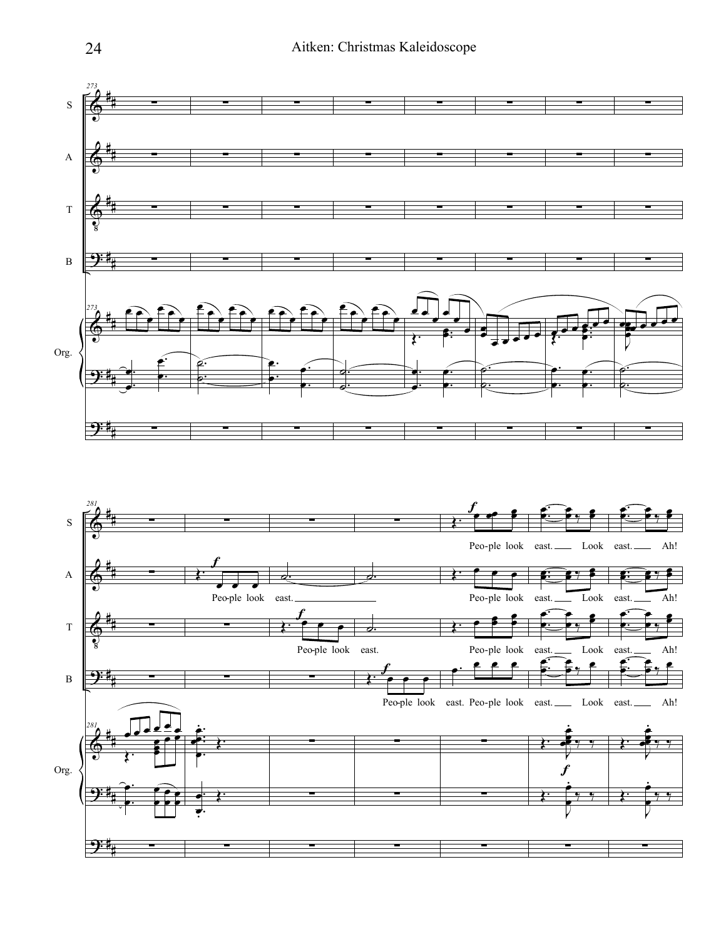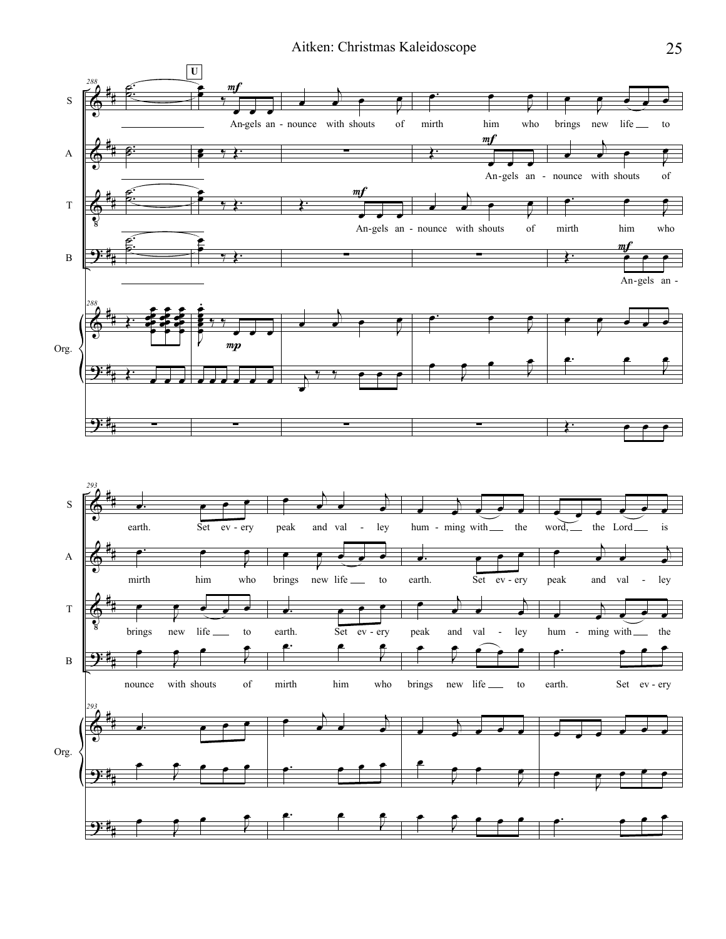Aitken: Christmas Kaleidoscope 25

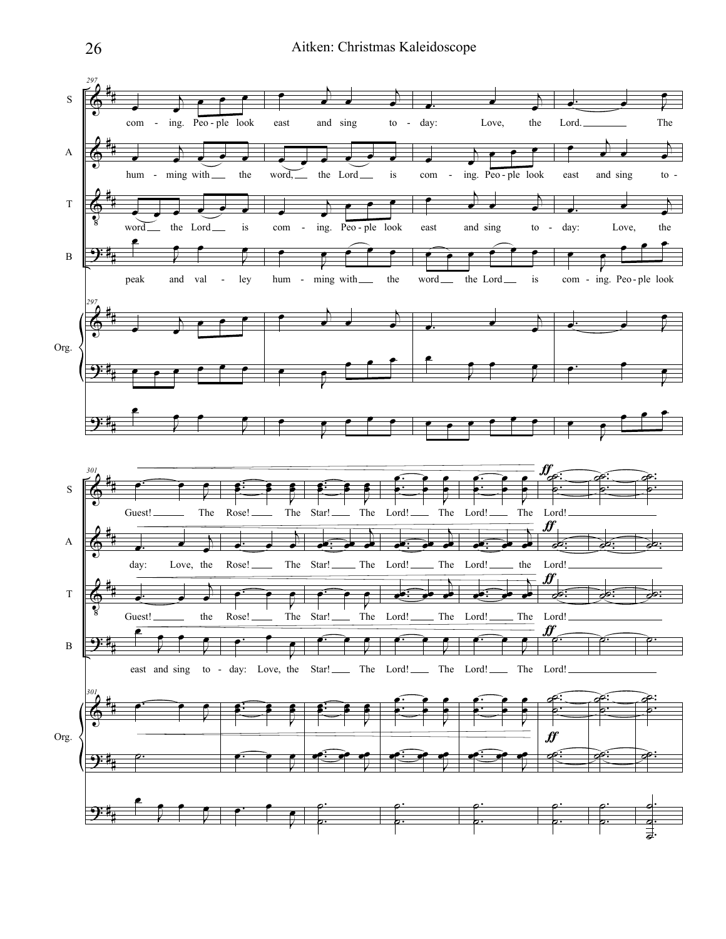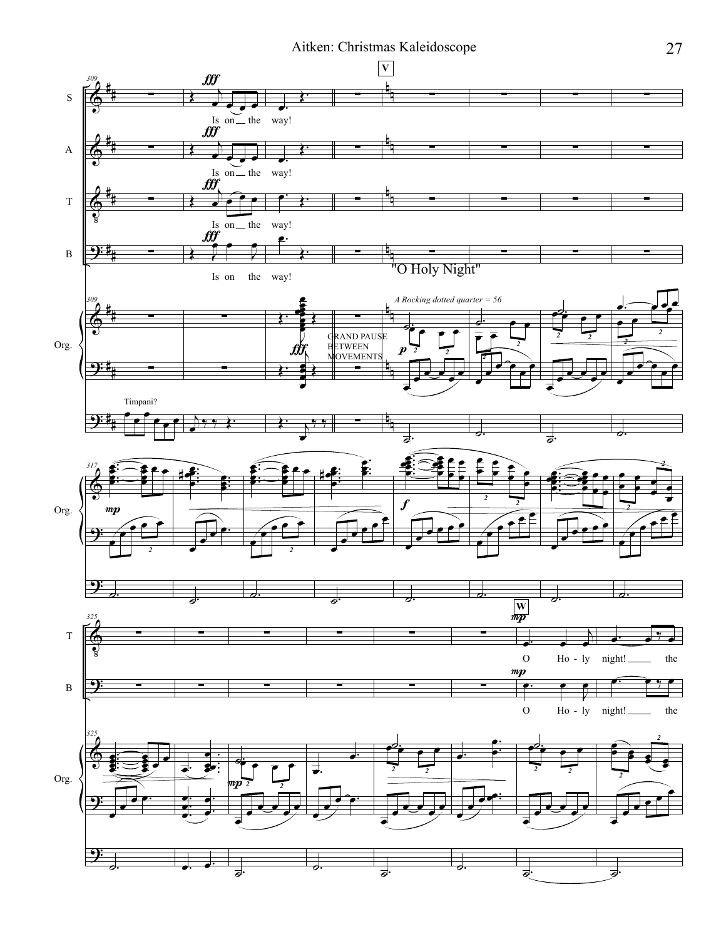Aitken: Christmas Kaleidoscope 27

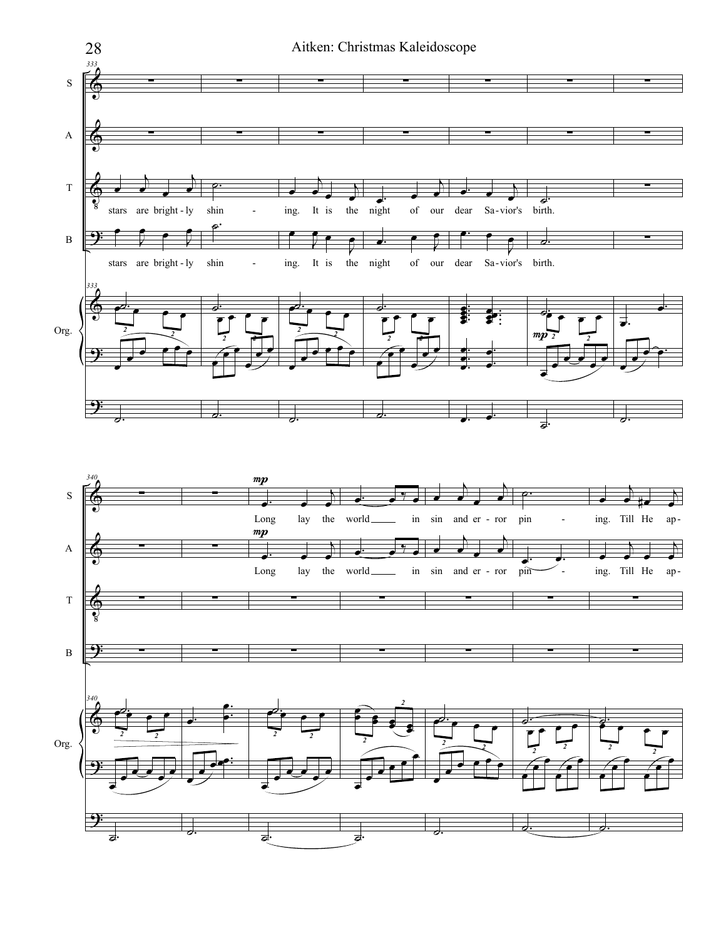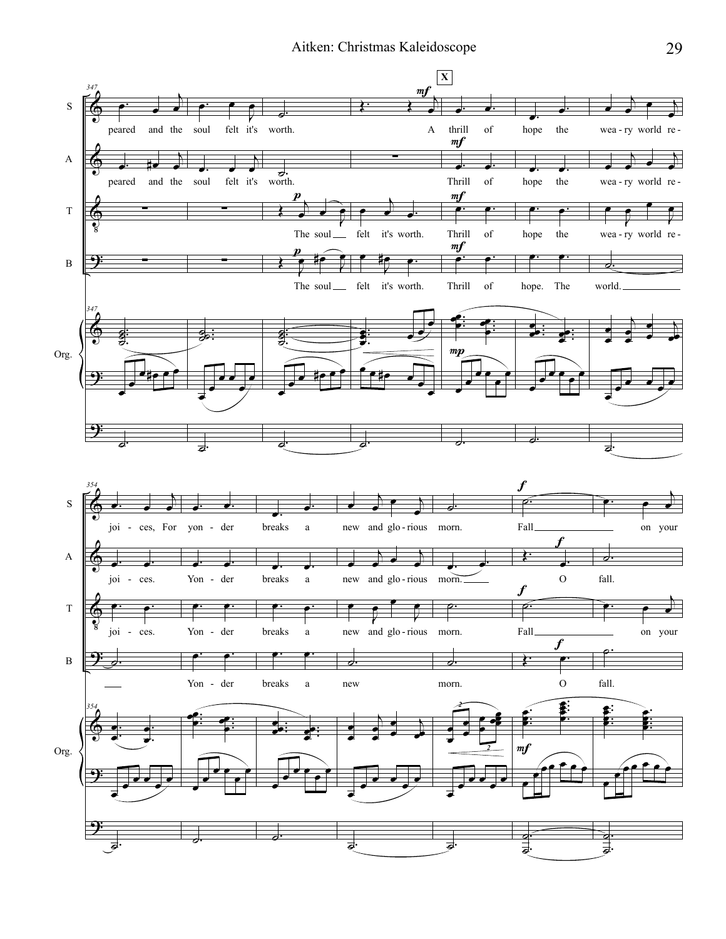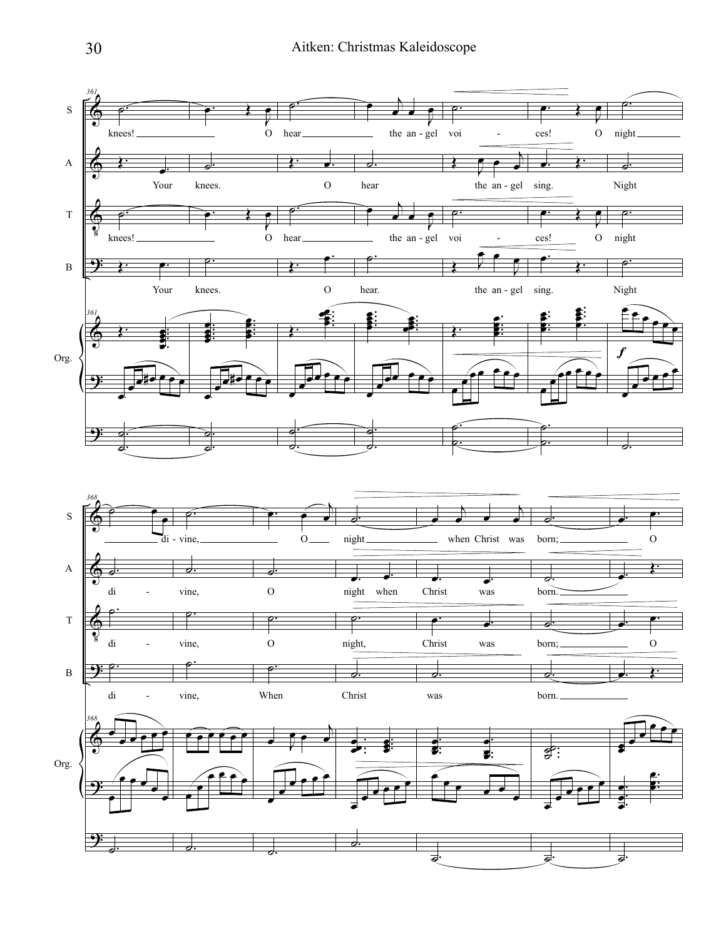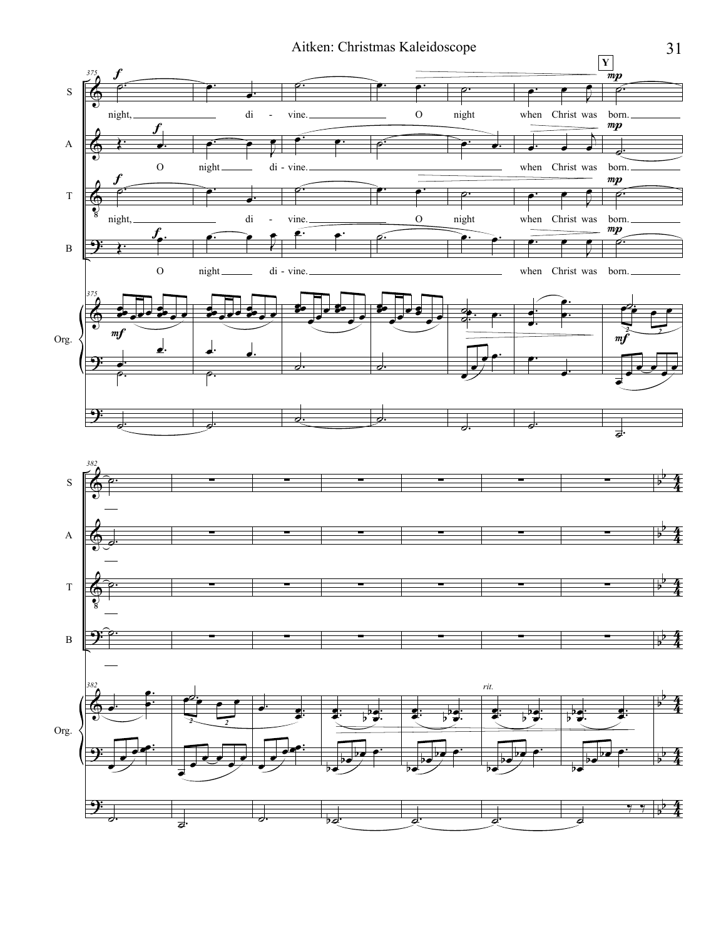Aitken: Christmas Kaleidoscope 31

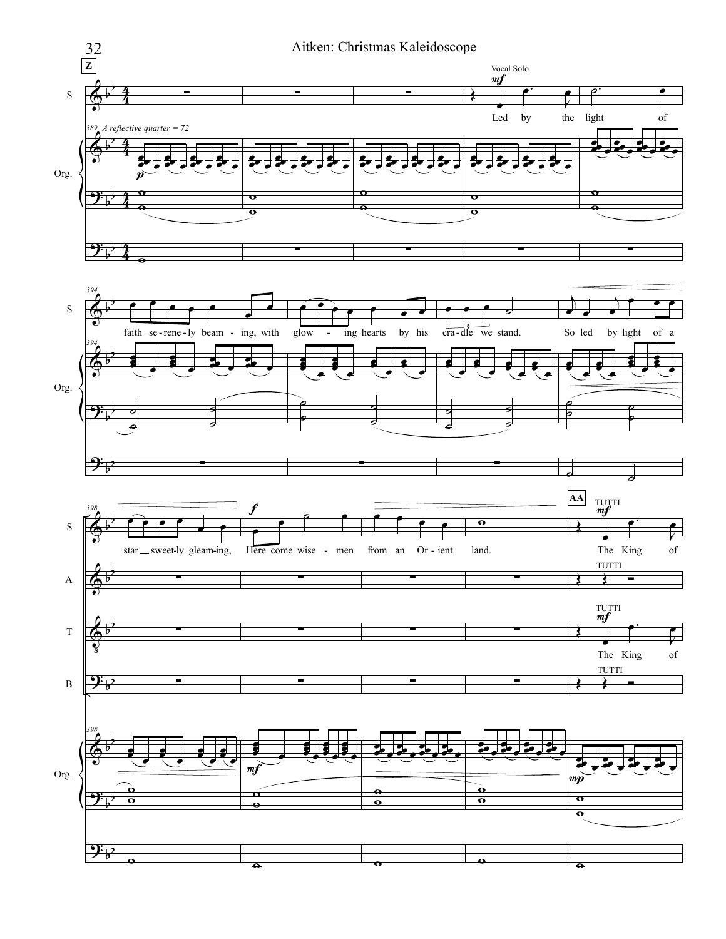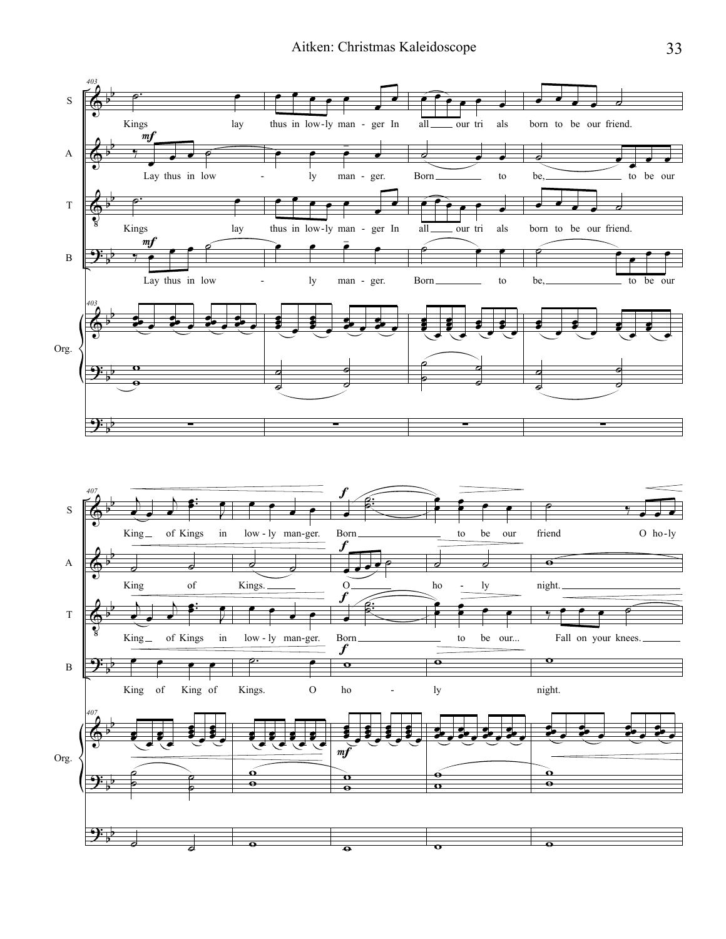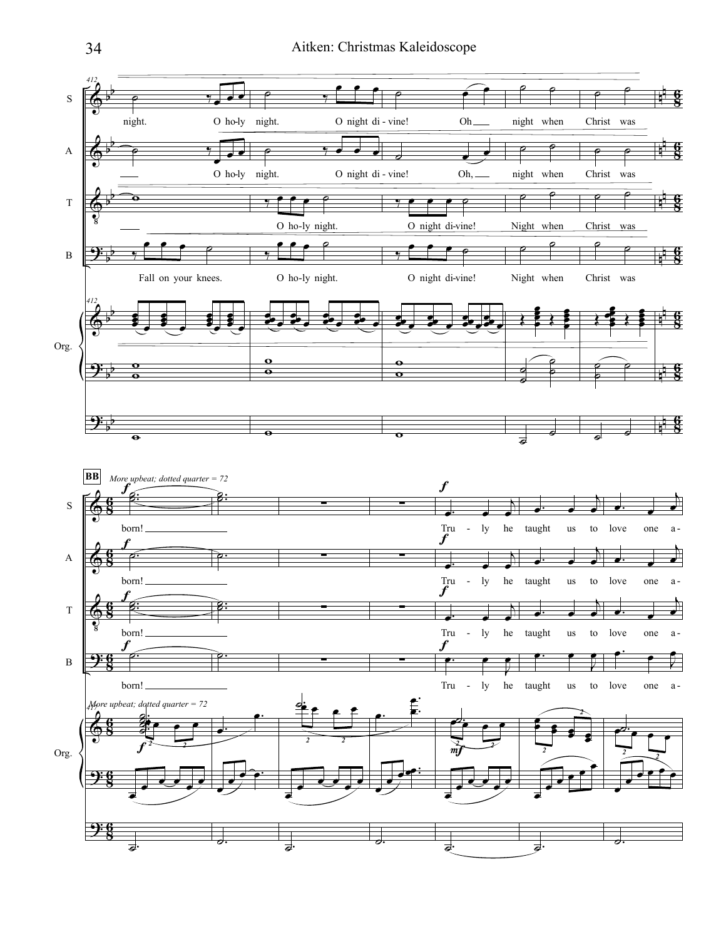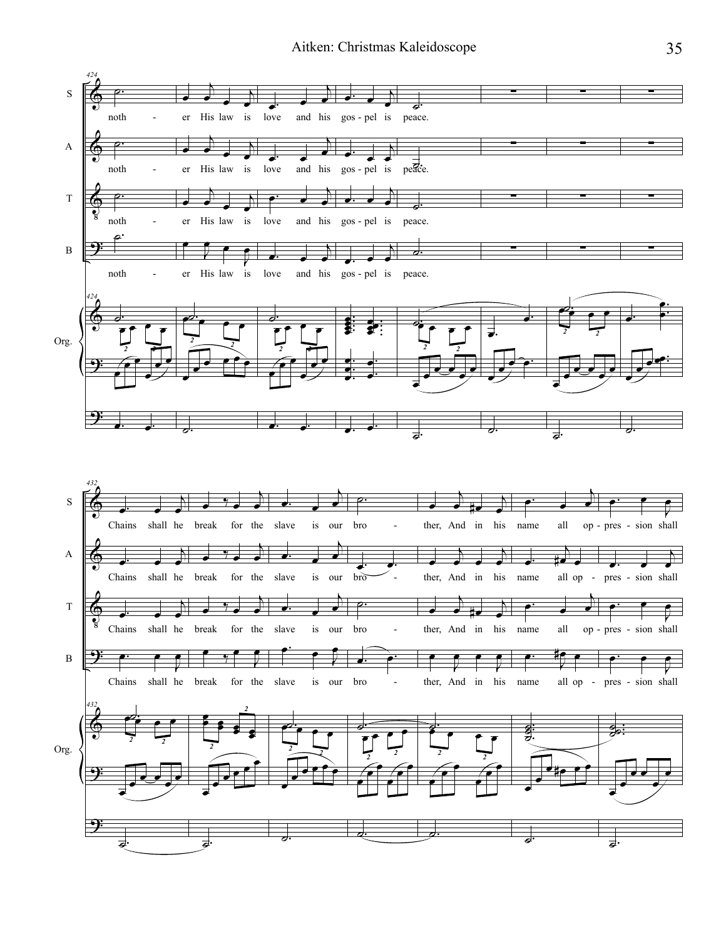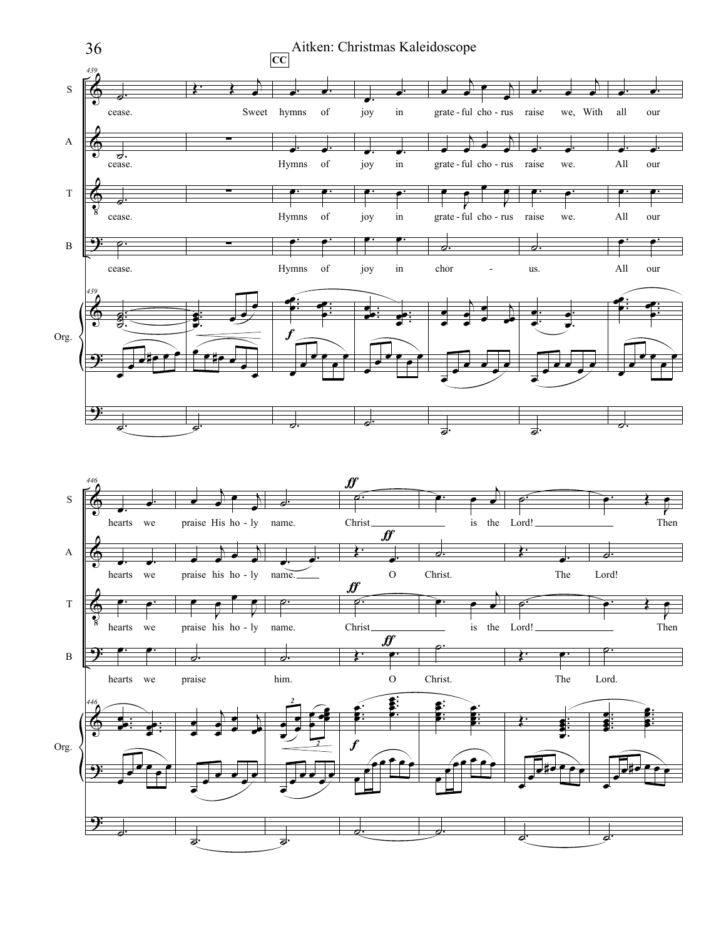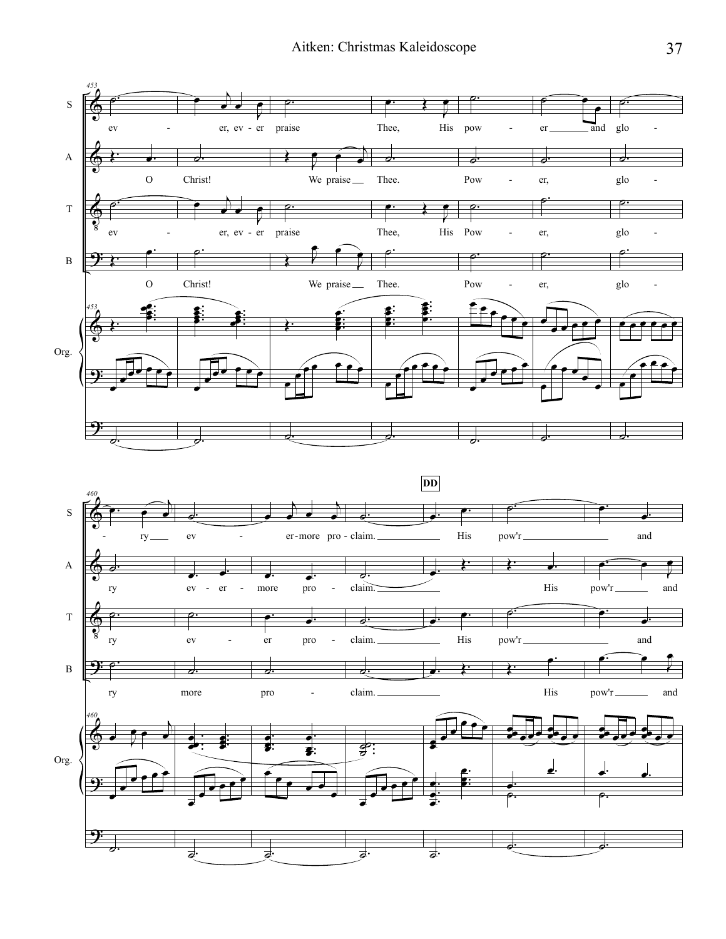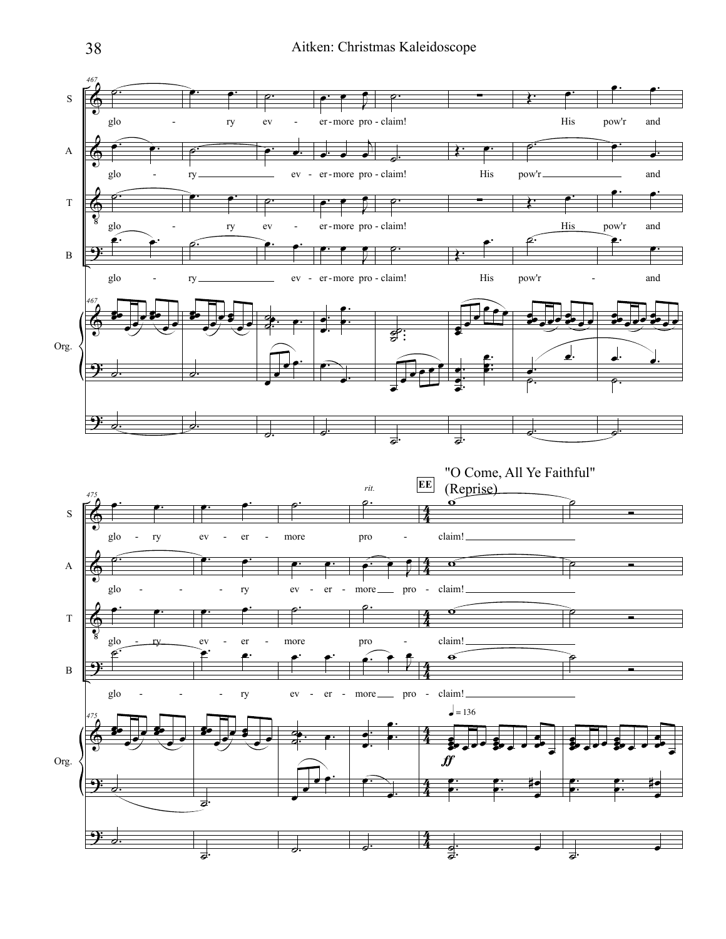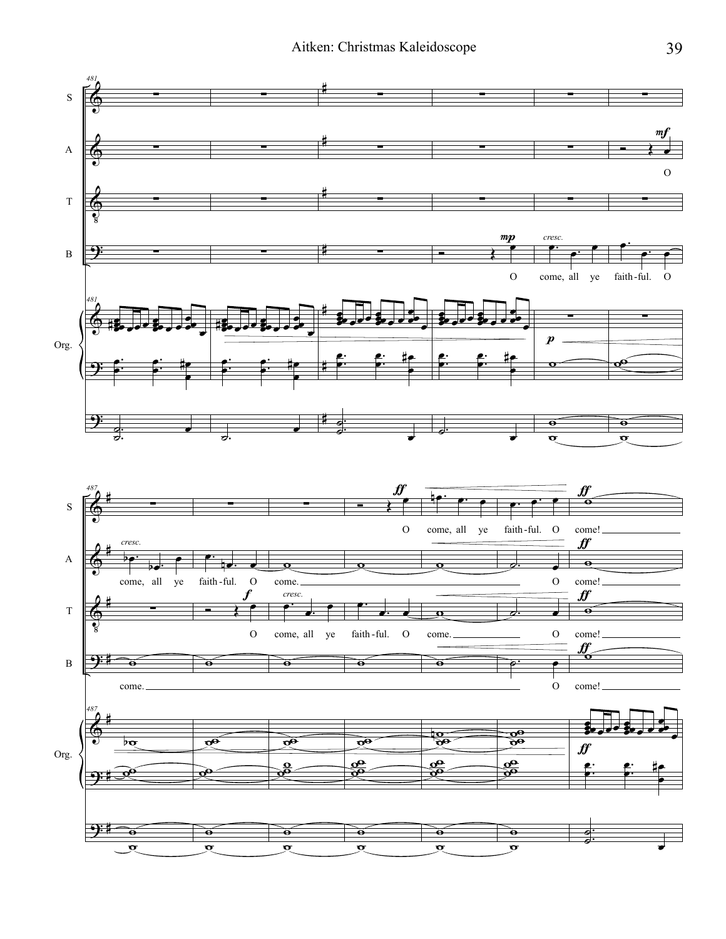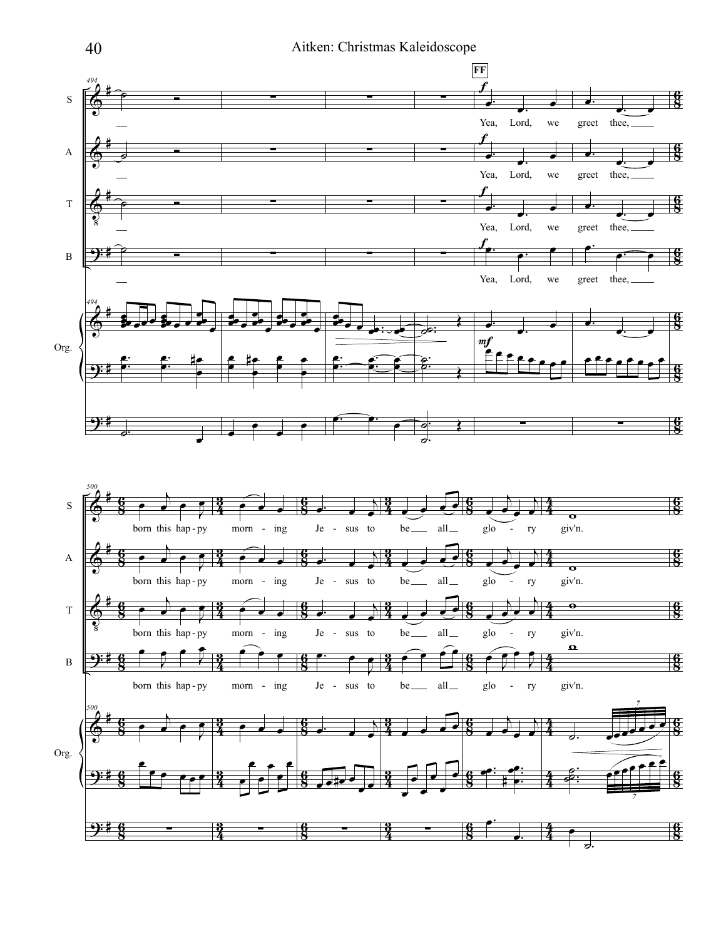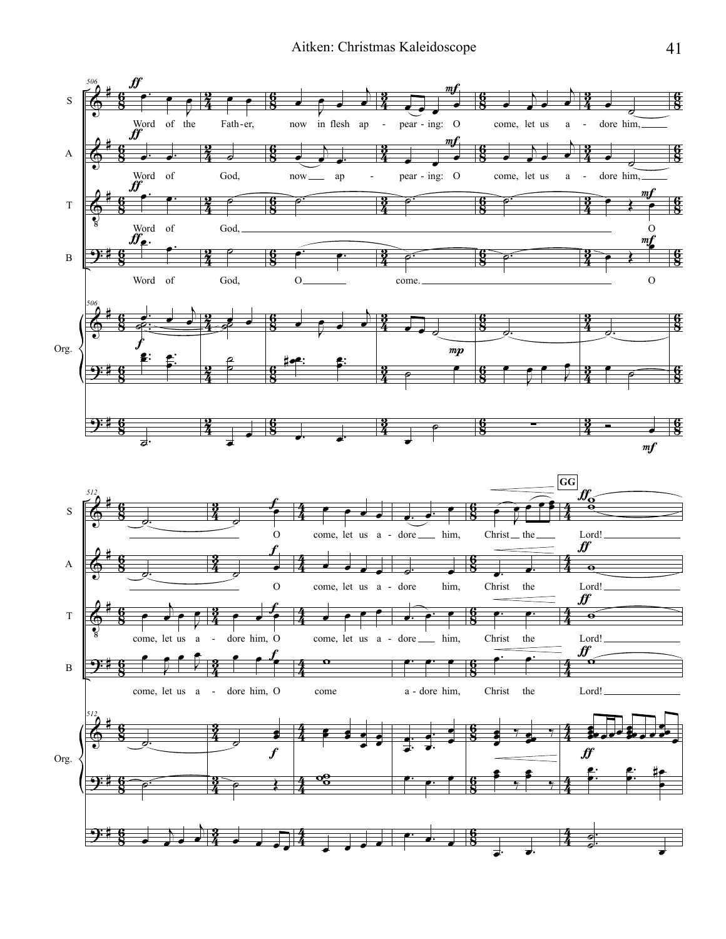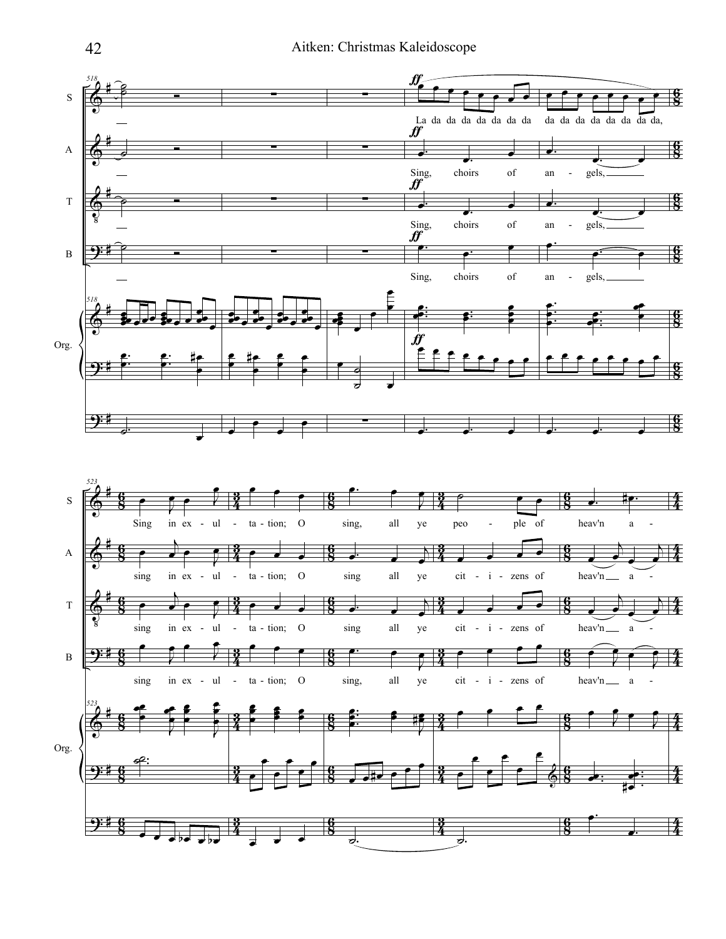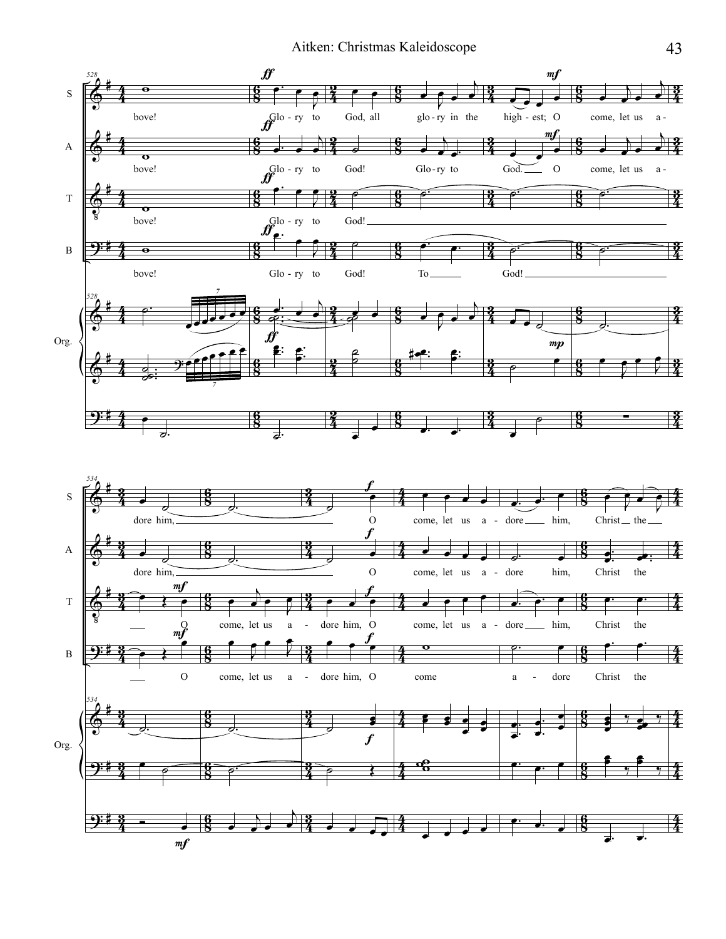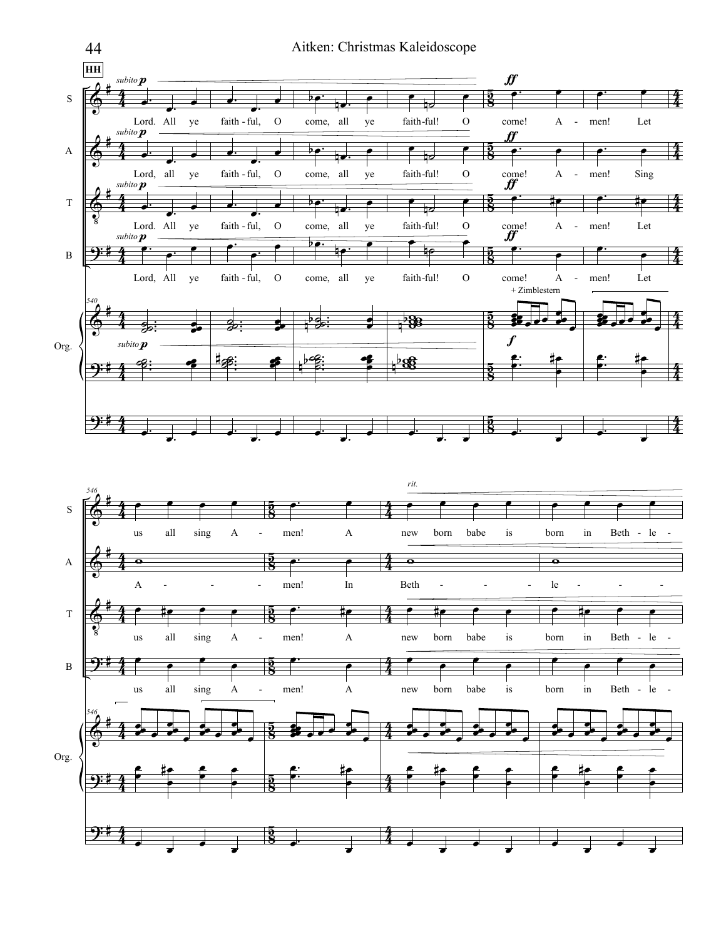